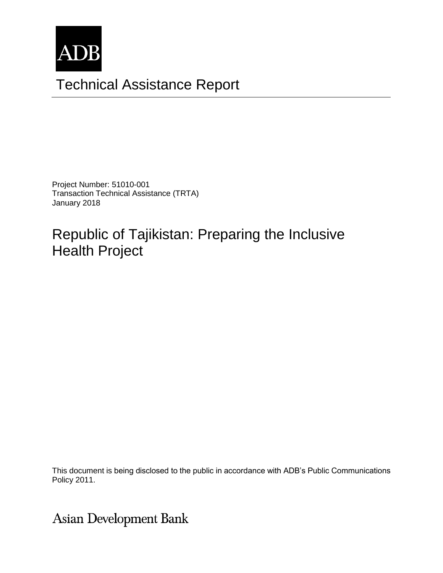

# Technical Assistance Report

Project Number: 51010-001 Transaction Technical Assistance (TRTA) January 2018

# Republic of Tajikistan: Preparing the Inclusive Health Project

The views expressed herein are those of the consultant and do not necessarily represent those of ADB's  $\sim$  100  $\mu$  and do not necessarily represent those of ADB's  $\mu$  and  $\mu$  and  $\mu$  and  $\mu$  and  $\mu$  and  $\mu$  and  $\mu$ This document is being disclosed to the public in accordance with ADB's Public Communications

**Asian Development Bank**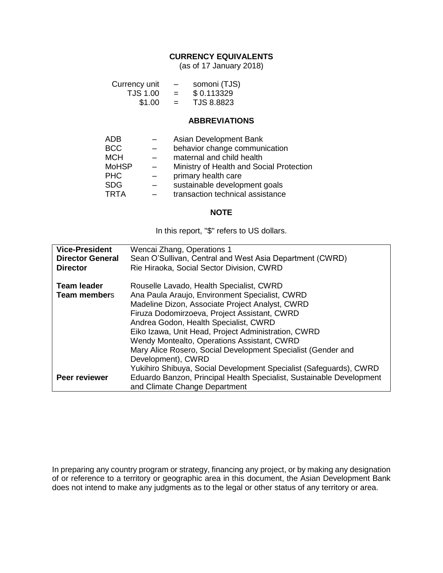#### **CURRENCY EQUIVALENTS**

(as of 17 January 2018)

| Currency unit | -   | somoni (TJS) |
|---------------|-----|--------------|
| TJS 1.00      | $=$ | \$0.113329   |
| \$1.00        | $=$ | TJS 8.8823   |

#### **ABBREVIATIONS**

| <b>ADB</b>   | Asian Development Bank                   |
|--------------|------------------------------------------|
| <b>BCC</b>   | behavior change communication            |
| <b>MCH</b>   | maternal and child health                |
| <b>MoHSP</b> | Ministry of Health and Social Protection |
| <b>PHC</b>   | primary health care                      |
| <b>SDG</b>   | sustainable development goals            |
| <b>TRTA</b>  | transaction technical assistance         |
|              |                                          |

#### **NOTE**

In this report, "\$" refers to US dollars.

| <b>Vice-President</b>   | Wencai Zhang, Operations 1                                           |
|-------------------------|----------------------------------------------------------------------|
| <b>Director General</b> | Sean O'Sullivan, Central and West Asia Department (CWRD)             |
| <b>Director</b>         | Rie Hiraoka, Social Sector Division, CWRD                            |
|                         |                                                                      |
| <b>Team leader</b>      | Rouselle Lavado, Health Specialist, CWRD                             |
| <b>Team members</b>     | Ana Paula Araujo, Environment Specialist, CWRD                       |
|                         | Madeline Dizon, Associate Project Analyst, CWRD                      |
|                         | Firuza Dodomirzoeva, Project Assistant, CWRD                         |
|                         | Andrea Godon, Health Specialist, CWRD                                |
|                         | Eiko Izawa, Unit Head, Project Administration, CWRD                  |
|                         | Wendy Montealto, Operations Assistant, CWRD                          |
|                         | Mary Alice Rosero, Social Development Specialist (Gender and         |
|                         | Development), CWRD                                                   |
|                         | Yukihiro Shibuya, Social Development Specialist (Safeguards), CWRD   |
| Peer reviewer           | Eduardo Banzon, Principal Health Specialist, Sustainable Development |
|                         | and Climate Change Department                                        |

In preparing any country program or strategy, financing any project, or by making any designation of or reference to a territory or geographic area in this document, the Asian Development Bank does not intend to make any judgments as to the legal or other status of any territory or area.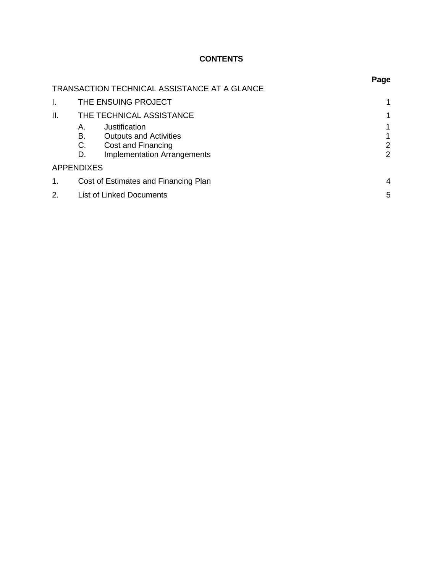# **CONTENTS**

|     |                                              | Page |  |
|-----|----------------------------------------------|------|--|
|     | TRANSACTION TECHNICAL ASSISTANCE AT A GLANCE |      |  |
| I.  | THE ENSUING PROJECT                          |      |  |
| ΙΙ. | THE TECHNICAL ASSISTANCE                     | 1    |  |
|     | Justification<br>А.                          | 1    |  |
|     | В.<br><b>Outputs and Activities</b>          | 1    |  |
|     | C.<br>Cost and Financing                     | 2    |  |
|     | <b>Implementation Arrangements</b><br>D.     | 2    |  |
|     | <b>APPENDIXES</b>                            |      |  |
| 1.  | Cost of Estimates and Financing Plan         |      |  |
| 2.  | <b>List of Linked Documents</b>              | 5    |  |
|     |                                              |      |  |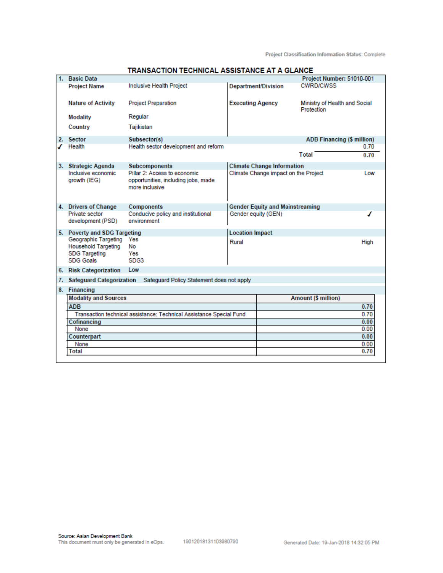**Project Classification Information Status: Complete** 

| 1. | <b>Basic Data</b>                                                                              |                                                                                       |                            |                                        | Project Number: 51010-001                   |             |
|----|------------------------------------------------------------------------------------------------|---------------------------------------------------------------------------------------|----------------------------|----------------------------------------|---------------------------------------------|-------------|
|    | <b>Project Name</b>                                                                            | Inclusive Health Project                                                              | <b>Department/Division</b> |                                        | <b>CWRD/CWSS</b>                            |             |
|    | <b>Nature of Activity</b>                                                                      | <b>Project Preparation</b>                                                            | <b>Executing Agency</b>    |                                        | Ministry of Health and Social<br>Protection |             |
|    | <b>Modality</b>                                                                                | Regular                                                                               |                            |                                        |                                             |             |
|    | Country                                                                                        | Tajikistan                                                                            |                            |                                        |                                             |             |
|    | 2. Sector                                                                                      | Subsector(s)                                                                          |                            |                                        | ADB Financing (\$ million)                  |             |
|    | Health                                                                                         | Health sector development and reform                                                  |                            |                                        |                                             | 0.70        |
|    |                                                                                                |                                                                                       |                            |                                        | Total                                       | 0.70        |
|    | 3. Strategic Agenda                                                                            | Subcomponents                                                                         |                            | <b>Climate Change Information</b>      |                                             |             |
|    | Inclusive economic<br>growth (IEG)                                                             | Pillar 2: Access to economic<br>opportunities, including jobs, made<br>more inclusive |                            | Climate Change impact on the Project   |                                             | Low         |
|    | 4. Drivers of Change                                                                           | Components                                                                            |                            | <b>Gender Equity and Mainstreaming</b> |                                             |             |
|    | Private sector<br>development (PSD)                                                            | Conducive policy and institutional<br>environment                                     | Gender equity (GEN)        |                                        |                                             | ℐ           |
|    | 5. Poverty and SDG Targeting                                                                   |                                                                                       | <b>Location Impact</b>     |                                        |                                             |             |
|    | Geographic Targeting<br><b>Household Targeting</b><br><b>SDG Targeting</b><br><b>SDG Goals</b> | Yes<br>No<br>Yes<br>SDG3                                                              | Rural                      |                                        |                                             | <b>High</b> |
|    | 6. Risk Categorization                                                                         | Low                                                                                   |                            |                                        |                                             |             |
| 7. | <b>Safeguard Categorization</b>                                                                | Safequard Policy Statement does not apply                                             |                            |                                        |                                             |             |
|    | 8. Financing                                                                                   |                                                                                       |                            |                                        |                                             |             |
|    | <b>Modality and Sources</b>                                                                    |                                                                                       |                            |                                        | Amount (\$ million)                         |             |
|    | <b>ADB</b>                                                                                     |                                                                                       |                            |                                        |                                             | 0.70        |
|    |                                                                                                | Transaction technical assistance: Technical Assistance Special Fund                   |                            |                                        |                                             | 0.70        |
|    | Cofinancing                                                                                    |                                                                                       |                            |                                        |                                             | 0.00        |
|    | None                                                                                           |                                                                                       |                            |                                        |                                             | 0.00        |
|    | Counterpart                                                                                    |                                                                                       |                            |                                        |                                             | 0.00        |
|    | None                                                                                           |                                                                                       |                            |                                        |                                             | 0.00        |
|    | Total                                                                                          |                                                                                       |                            |                                        |                                             | 0.70        |
|    |                                                                                                |                                                                                       |                            |                                        |                                             |             |

#### TRANSACTION TECHNICAL ASSISTANCE AT A GLANCE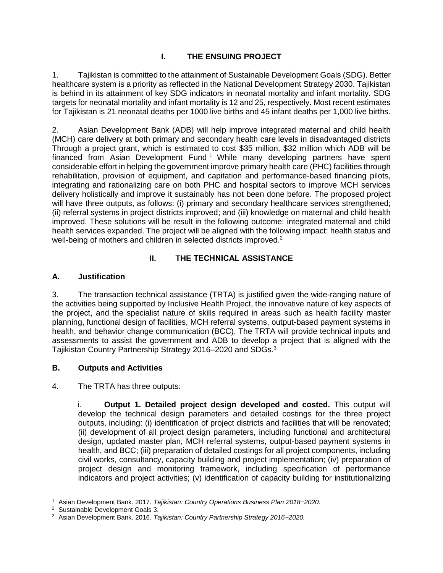## **I. THE ENSUING PROJECT**

1. Tajikistan is committed to the attainment of Sustainable Development Goals (SDG). Better healthcare system is a priority as reflected in the National Development Strategy 2030. Tajikistan is behind in its attainment of key SDG indicators in neonatal mortality and infant mortality. SDG targets for neonatal mortality and infant mortality is 12 and 25, respectively. Most recent estimates for Tajikistan is 21 neonatal deaths per 1000 live births and 45 infant deaths per 1,000 live births.

2. Asian Development Bank (ADB) will help improve integrated maternal and child health (MCH) care delivery at both primary and secondary health care levels in disadvantaged districts Through a project grant, which is estimated to cost \$35 million, \$32 million which ADB will be financed from Asian Development Fund<sup>1</sup> While many developing partners have spent considerable effort in helping the government improve primary health care (PHC) facilities through rehabilitation, provision of equipment, and capitation and performance-based financing pilots, integrating and rationalizing care on both PHC and hospital sectors to improve MCH services delivery holistically and improve it sustainably has not been done before. The proposed project will have three outputs, as follows: (i) primary and secondary healthcare services strengthened; (ii) referral systems in project districts improved; and (iii) knowledge on maternal and child health improved. These solutions will be result in the following outcome: integrated maternal and child health services expanded. The project will be aligned with the following impact: health status and well-being of mothers and children in selected districts improved.<sup>2</sup>

# **II. THE TECHNICAL ASSISTANCE**

### **A. Justification**

3. The transaction technical assistance (TRTA) is justified given the wide-ranging nature of the activities being supported by Inclusive Health Project, the innovative nature of key aspects of the project, and the specialist nature of skills required in areas such as health facility master planning, functional design of facilities, MCH referral systems, output-based payment systems in health, and behavior change communication (BCC). The TRTA will provide technical inputs and assessments to assist the government and ADB to develop a project that is aligned with the Tajikistan Country Partnership Strategy 2016–2020 and SDGs.<sup>3</sup>

### **B. Outputs and Activities**

4. The TRTA has three outputs:

i. **Output 1. Detailed project design developed and costed.** This output will develop the technical design parameters and detailed costings for the three project outputs, including: (i) identification of project districts and facilities that will be renovated; (ii) development of all project design parameters, including functional and architectural design, updated master plan, MCH referral systems, output-based payment systems in health, and BCC; (iii) preparation of detailed costings for all project components, including civil works, consultancy, capacity building and project implementation; (iv) preparation of project design and monitoring framework, including specification of performance indicators and project activities; (v) identification of capacity building for institutionalizing

 <sup>1</sup> Asian Development Bank. 2017. *Tajikistan: Country Operations Business Plan 2018−2020*.

<sup>2</sup> Sustainable Development Goals 3.

<sup>3</sup> Asian Development Bank. 2016. *Tajikistan: Country Partnership Strategy 2016−2020.*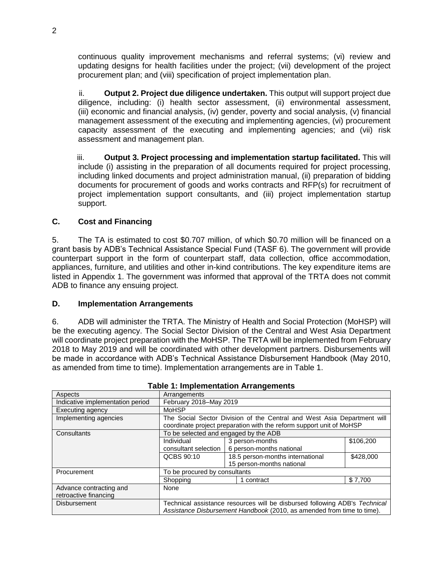continuous quality improvement mechanisms and referral systems; (vi) review and updating designs for health facilities under the project; (vii) development of the project procurement plan; and (viii) specification of project implementation plan.

ii. **Output 2. Project due diligence undertaken.** This output will support project due diligence, including: (i) health sector assessment, (ii) environmental assessment, (iii) economic and financial analysis, (iv) gender, poverty and social analysis, (v) financial management assessment of the executing and implementing agencies, (vi) procurement capacity assessment of the executing and implementing agencies; and (vii) risk assessment and management plan.

iii. **Output 3. Project processing and implementation startup facilitated.** This will include (i) assisting in the preparation of all documents required for project processing, including linked documents and project administration manual, (ii) preparation of bidding documents for procurement of goods and works contracts and RFP(s) for recruitment of project implementation support consultants, and (iii) project implementation startup support.

#### **C. Cost and Financing**

5. The TA is estimated to cost \$0.707 million, of which \$0.70 million will be financed on a grant basis by ADB's Technical Assistance Special Fund (TASF 6). The government will provide counterpart support in the form of counterpart staff, data collection, office accommodation, appliances, furniture, and utilities and other in-kind contributions. The key expenditure items are listed in Appendix 1. The government was informed that approval of the TRTA does not commit ADB to finance any ensuing project.

#### **D. Implementation Arrangements**

6. ADB will administer the TRTA. The Ministry of Health and Social Protection (MoHSP) will be the executing agency. The Social Sector Division of the Central and West Asia Department will coordinate project preparation with the MoHSP. The TRTA will be implemented from February 2018 to May 2019 and will be coordinated with other development partners. Disbursements will be made in accordance with ADB's Technical Assistance Disbursement Handbook (May 2010, as amended from time to time). Implementation arrangements are in Table 1.

| Aspects                          | Arrangements                                                                                                                                         |                                  |           |
|----------------------------------|------------------------------------------------------------------------------------------------------------------------------------------------------|----------------------------------|-----------|
| Indicative implementation period | February 2018-May 2019                                                                                                                               |                                  |           |
| Executing agency                 | <b>MoHSP</b>                                                                                                                                         |                                  |           |
| Implementing agencies            | The Social Sector Division of the Central and West Asia Department will                                                                              |                                  |           |
|                                  | coordinate project preparation with the reform support unit of MoHSP                                                                                 |                                  |           |
| Consultants                      | To be selected and engaged by the ADB                                                                                                                |                                  |           |
|                                  | Individual                                                                                                                                           | 3 person-months                  | \$106.200 |
|                                  | consultant selection                                                                                                                                 | 6 person-months national         |           |
|                                  | QCBS 90:10                                                                                                                                           | 18.5 person-months international | \$428,000 |
|                                  |                                                                                                                                                      | 15 person-months national        |           |
| Procurement                      | To be procured by consultants                                                                                                                        |                                  |           |
|                                  | Shopping                                                                                                                                             | contract                         | \$7.700   |
| None<br>Advance contracting and  |                                                                                                                                                      |                                  |           |
| retroactive financing            |                                                                                                                                                      |                                  |           |
| <b>Disbursement</b>              | Technical assistance resources will be disbursed following ADB's Technical<br>Assistance Disbursement Handbook (2010, as amended from time to time). |                                  |           |

#### **Table 1: Implementation Arrangements**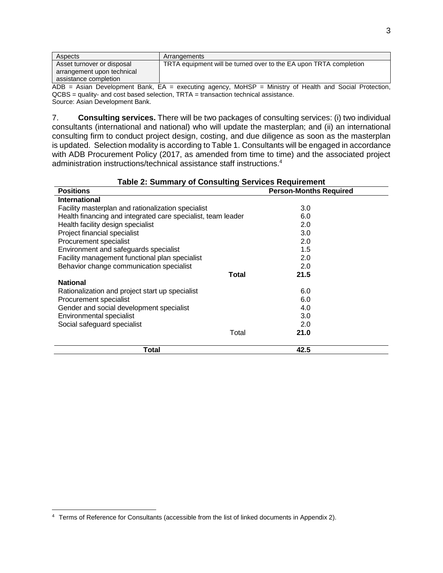| Aspects                    | Arrangements                                                      |
|----------------------------|-------------------------------------------------------------------|
| Asset turnover or disposal | TRTA equipment will be turned over to the EA upon TRTA completion |
| arrangement upon technical |                                                                   |
| assistance completion      |                                                                   |

 $\overline{ADB}$  = Asian Development Bank, EA = executing agency, MoHSP = Ministry of Health and Social Protection, QCBS = quality- and cost based selection, TRTA = transaction technical assistance. Source: Asian Development Bank.

7. **Consulting services. There will be two packages of consulting services: (i) two individual consultants (international and national) who will update the masterplan; and (ii) an international consulting firm to conduct project design, costing, and due diligence as soon as the masterplan is updated. Selection modality is according to Table 1.** Consultants will be engaged in accordance with ADB Procurement Policy (2017, as amended from time to time) and the associated project administration instructions/technical assistance staff instructions.<sup>4</sup>

#### **Positions Person-Months Required International** Facility masterplan and rationalization specialist Health financing and integrated care specialist, team leader Health facility design specialist Project financial specialist Procurement specialist Environment and safeguards specialist Facility management functional plan specialist Behavior change communication specialist **Total National** Rationalization and project start up specialist Procurement specialist Gender and social development specialist Environmental specialist Social safeguard specialist Total 3.0 6.0 2.0 3.0 2.0 1.5 2.0 2.0 **21.5** 6.0 6.0 4.0 3.0 2.0 **21.0 Total 42.5**

#### **Table 2: Summary of Consulting Services Requirement**

<sup>4</sup> Terms of Reference for Consultants (accessible from the list of linked documents in Appendix 2).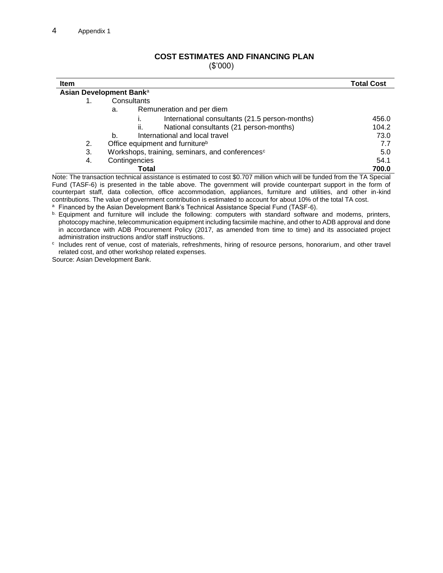# **COST ESTIMATES AND FINANCING PLAN**

(\$'000)

| <b>Item</b>                                                                                                              |                                                                                                                                          | <b>Total Cost</b> |  |  |  |  |
|--------------------------------------------------------------------------------------------------------------------------|------------------------------------------------------------------------------------------------------------------------------------------|-------------------|--|--|--|--|
|                                                                                                                          | Asian Development Bank <sup>a</sup>                                                                                                      |                   |  |  |  |  |
|                                                                                                                          | Consultants                                                                                                                              |                   |  |  |  |  |
|                                                                                                                          | Remuneration and per diem<br>a.                                                                                                          |                   |  |  |  |  |
|                                                                                                                          | International consultants (21.5 person-months)                                                                                           | 456.0             |  |  |  |  |
|                                                                                                                          | National consultants (21 person-months)<br>ii.                                                                                           | 104.2             |  |  |  |  |
|                                                                                                                          | International and local travel<br>b.                                                                                                     | 73.0              |  |  |  |  |
| 2.                                                                                                                       | Office equipment and furniture <sup>b</sup>                                                                                              | 7.7               |  |  |  |  |
| 3.                                                                                                                       | Workshops, training, seminars, and conferences <sup>c</sup>                                                                              | 5.0               |  |  |  |  |
| 4.                                                                                                                       | Contingencies                                                                                                                            | 54.1              |  |  |  |  |
|                                                                                                                          | Total                                                                                                                                    | 700.0             |  |  |  |  |
| Note: The transaction technical assistance is estimated to cost \$0.707 million which will be funded from the TA Special |                                                                                                                                          |                   |  |  |  |  |
|                                                                                                                          | $\Gamma$ und $(T \wedge C \Gamma \wedge$ is procented in the table above. The government will provide counterpart quapert in the form of |                   |  |  |  |  |

Fund (TASF-6) is presented in the table above. The government will provide counterpart support in the form of counterpart staff, data collection, office accommodation, appliances, furniture and utilities, and other in-kind contributions. The value of government contribution is estimated to account for about 10% of the total TA cost.

a Financed by the Asian Development Bank's Technical Assistance Special Fund (TASF-6).

b. Equipment and furniture will include the following: computers with standard software and modems, printers, photocopy machine, telecommunication equipment including facsimile machine, and other to ADB approval and done in accordance with ADB Procurement Policy (2017, as amended from time to time) and its associated project administration instructions and/or staff instructions.

c Includes rent of venue, cost of materials, refreshments, hiring of resource persons, honorarium, and other travel related cost, and other workshop related expenses.

Source: Asian Development Bank.